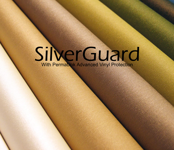# SilverGuard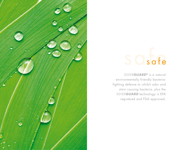

### Osafe

*SILVERGUARD®* is a natural environmentally friendly bacteriafighting defense to inhibit odor and stain causing bacteria, plus the *SILVERGUARD* technology is EPA registered and FDA approved.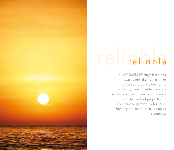#### eliable

*SILVERGUARD®* stays fresh and lasts longer than other silver ion based products due to the proprietary manufacturing process which promotes a controlled release of antimicrobial properties. It continues to provide its bacteriafighting protection after repetitive cleanings.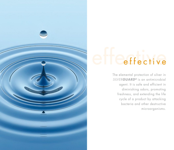

## Ceffective

The elemental protection of silver in *SILVERGUARD®* is an antimicrobial agent. It is safe and efficient in diminishing odors, promoting freshness, and extending the life cycle of a product by attacking bacteria and other destructive microorganisms.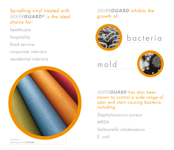Spradling vinyl treated with *SILVERGUARD®* is the ideal choice for:

*healthcare*

*hospitality* 

*food service*

*corporate interiors*

*residential interiors*



#### *SILVERGUARD* inhibits the growth of:



*SILVERGUARD* has also been shown to control a wide range of odor and stain causing bacteria, including:

*Staphylococcus aureus*

*MRSA*

*Salmonella choleraesuis*

*E. coli*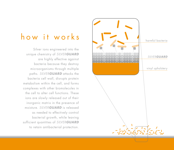

#### how it works

Silver ions engineered into the unique chemistry of *SILVERGUARD* are highly effective against bacteria because they destroy microorganisms through multiple paths. *SILVERGUARD* attacks the bacteria cell wall, disrupts protein metabolism within the cell, and forms complexes with other biomolecules in the cell to alter cell functions. These ions are slowly released out of their inorganic matrix in the presence of moisture. *SILVERGUARD* is released as needed to effectively control bacterial growth, while leaving sufficient quantities of *SILVERGUARD* to retain antibacterial protection.